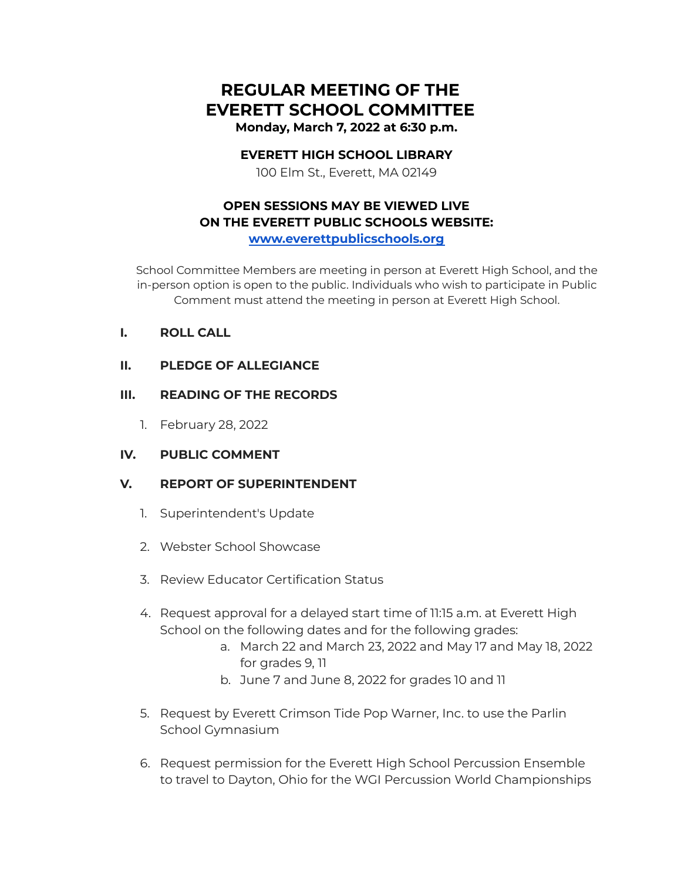# **REGULAR MEETING OF THE EVERETT SCHOOL COMMITTEE Monday, March 7, 2022 at 6:30 p.m.**

#### **EVERETT HIGH SCHOOL LIBRARY**

100 Elm St., Everett, MA 02149

## **OPEN SESSIONS MAY BE VIEWED LIVE ON THE EVERETT PUBLIC SCHOOLS WEBSITE: [www.everettpublicschools.org](http://www.everettpublicschools.org)**

School Committee Members are meeting in person at Everett High School, and the in-person option is open to the public. Individuals who wish to participate in Public Comment must attend the meeting in person at Everett High School.

- **I. ROLL CALL**
- **II. PLEDGE OF ALLEGIANCE**

#### **III. READING OF THE RECORDS**

1. February 28, 2022

## **IV. PUBLIC COMMENT**

## **V. REPORT OF SUPERINTENDENT**

- 1. Superintendent's Update
- 2. Webster School Showcase
- 3. Review Educator Certification Status
- 4. Request approval for a delayed start time of 11:15 a.m. at Everett High School on the following dates and for the following grades:
	- a. March 22 and March 23, 2022 and May 17 and May 18, 2022 for grades 9, 11
	- b. June 7 and June 8, 2022 for grades 10 and 11
- 5. Request by Everett Crimson Tide Pop Warner, Inc. to use the Parlin School Gymnasium
- 6. Request permission for the Everett High School Percussion Ensemble to travel to Dayton, Ohio for the WGI Percussion World Championships